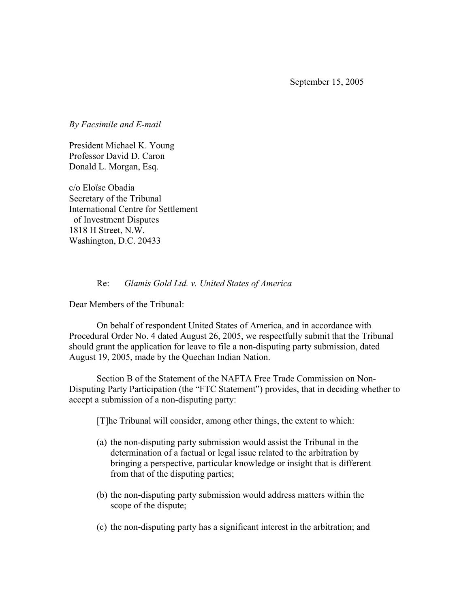September 15, 2005

*By Facsimile and E-mail* 

President Michael K. Young Professor David D. Caron Donald L. Morgan, Esq.

c/o Eloïse Obadia Secretary of the Tribunal International Centre for Settlement of Investment Disputes 1818 H Street, N.W. Washington, D.C. 20433

## Re: *Glamis Gold Ltd. v. United States of America*

Dear Members of the Tribunal:

 On behalf of respondent United States of America, and in accordance with Procedural Order No. 4 dated August 26, 2005, we respectfully submit that the Tribunal should grant the application for leave to file a non-disputing party submission, dated August 19, 2005, made by the Quechan Indian Nation.

 Section B of the Statement of the NAFTA Free Trade Commission on Non-Disputing Party Participation (the "FTC Statement") provides, that in deciding whether to accept a submission of a non-disputing party:

[T]he Tribunal will consider, among other things, the extent to which:

- (a) the non-disputing party submission would assist the Tribunal in the determination of a factual or legal issue related to the arbitration by bringing a perspective, particular knowledge or insight that is different from that of the disputing parties;
- (b) the non-disputing party submission would address matters within the scope of the dispute;
- (c) the non-disputing party has a significant interest in the arbitration; and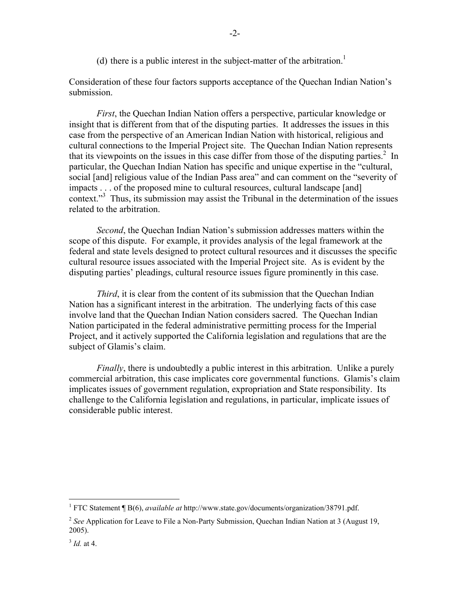(d) there is a public interest in the subject-matter of the arbitration.<sup>1</sup>

Consideration of these four factors supports acceptance of the Quechan Indian Nation's submission.

*First*, the Quechan Indian Nation offers a perspective, particular knowledge or insight that is different from that of the disputing parties. It addresses the issues in this case from the perspective of an American Indian Nation with historical, religious and cultural connections to the Imperial Project site. The Quechan Indian Nation represents that its viewpoints on the issues in this case differ from those of the disputing parties.<sup>2</sup> In particular, the Quechan Indian Nation has specific and unique expertise in the "cultural, social [and] religious value of the Indian Pass area" and can comment on the "severity of impacts . . . of the proposed mine to cultural resources, cultural landscape [and] context."<sup>3</sup> Thus, its submission may assist the Tribunal in the determination of the issues related to the arbitration.

*Second*, the Quechan Indian Nation's submission addresses matters within the scope of this dispute. For example, it provides analysis of the legal framework at the federal and state levels designed to protect cultural resources and it discusses the specific cultural resource issues associated with the Imperial Project site. As is evident by the disputing parties' pleadings, cultural resource issues figure prominently in this case.

*Third*, it is clear from the content of its submission that the Quechan Indian Nation has a significant interest in the arbitration. The underlying facts of this case involve land that the Quechan Indian Nation considers sacred. The Quechan Indian Nation participated in the federal administrative permitting process for the Imperial Project, and it actively supported the California legislation and regulations that are the subject of Glamis's claim.

*Finally*, there is undoubtedly a public interest in this arbitration. Unlike a purely commercial arbitration, this case implicates core governmental functions. Glamis's claim implicates issues of government regulation, expropriation and State responsibility. Its challenge to the California legislation and regulations, in particular, implicate issues of considerable public interest.

 1 FTC Statement ¶ B(6), *available at* http://www.state.gov/documents/organization/38791.pdf.

<sup>&</sup>lt;sup>2</sup> See Application for Leave to File a Non-Party Submission, Quechan Indian Nation at 3 (August 19, 2005).

 $3$  *Id.* at 4.